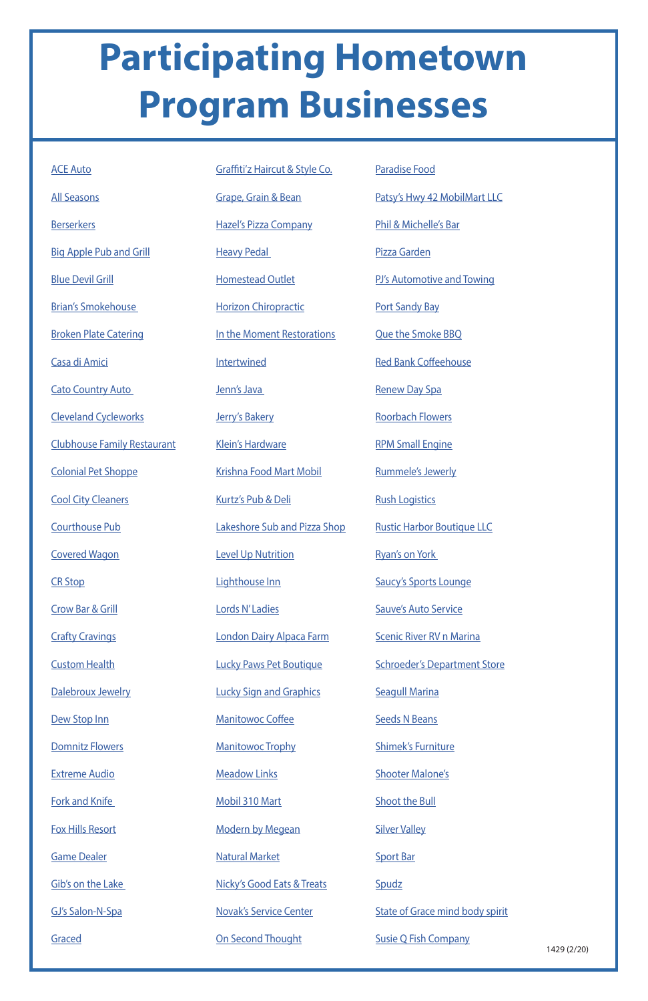## **Participating Hometown Program Businesses**

[Domnitz Flowers](https://www.facebook.com/Domnitz-Flowers-LLC-101850569889591/)

[Extreme Audio](https://www.facebook.com/exaudio/)

[Fork and Knife](https://www.facebook.com/ForkandKnifeRestaurant/) 

[Fox Hills Resort](https://www.facebook.com/FoxHillsResortWI/)

[Game Dealer](https://www.facebook.com/YourGameDealer/)

[Gib's on the Lake](https://www.facebook.com/Gibs-on-the-Lake-280016588690152/)

| <b>ACE Auto</b>                    | <b>Graffiti'z Haircut &amp; Style</b> |
|------------------------------------|---------------------------------------|
| <b>All Seasons</b>                 | Grape, Grain & Bean                   |
| <b>Berserkers</b>                  | <b>Hazel's Pizza Company</b>          |
| <b>Big Apple Pub and Grill</b>     | <b>Heavy Pedal</b>                    |
| <b>Blue Devil Grill</b>            | <b>Homestead Outlet</b>               |
| <b>Brian's Smokehouse</b>          | <b>Horizon Chiropractic</b>           |
| <b>Broken Plate Catering</b>       | In the Moment Restorati               |
| Casa di Amici                      | Intertwined                           |
| <b>Cato Country Auto</b>           | Jenn's Java                           |
| <b>Cleveland Cycleworks</b>        | Jerry's Bakery                        |
| <b>Clubhouse Family Restaurant</b> | <b>Klein's Hardware</b>               |
| <b>Colonial Pet Shoppe</b>         | <b>Krishna Food Mart Mobi</b>         |
| <b>Cool City Cleaners</b>          | Kurtz's Pub & Deli                    |
| <b>Courthouse Pub</b>              | Lakeshore Sub and Pizza               |
| <b>Covered Wagon</b>               | <b>Level Up Nutrition</b>             |
| <b>CR Stop</b>                     | Lighthouse Inn                        |
| <b>Crow Bar &amp; Grill</b>        | Lords N'Ladies                        |
| <b>Crafty Cravings</b>             | London Dairy Alpaca Far               |
| <b>Custom Health</b>               | <b>Lucky Paws Pet Boutique</b>        |
| Dalebroux Jewelry                  | <b>Lucky Sign and Graphics</b>        |
| Dew Stop Inn                       | <b>Manitowoc Coffee</b>               |

[GJ's Salon-N-Spa](https://www.facebook.com/gjsalonnspa/)

**[Graced](https://www.facebook.com/gracedhome/)** 

[Manitowoc Trophy](https://www.facebook.com/manitowoc.trophy.9/)

1429 (2/20)

[Meadow Links](https://www.facebook.com/pages/Meadow-Links-Golf-Course-Manitowoc-WI/351524838245780)

[Mobil 310 Mart](https://www.facebook.com/pages/Mobil-310-Mart/185068208244014)

[Modern by Megean](https://www.facebook.com/modernbymegean/)

[Natural Market](https://www.facebook.com/Natural-Market-315067675180175/)

[Nicky's Good Eats & Treats](https://www.facebook.com/nickysgoodeatsandtreats/)

[Novak's Service Center](https://www.facebook.com/Novaks-Service-Center-117252911667879/)

[On Second Thought](https://www.facebook.com/ON-SECOND-THOUGHT-WOMENS-CONSIGNMENT-SHOP-178544898804/)

| С <u>о.</u>   | <b>Paradise Food</b>                |
|---------------|-------------------------------------|
|               | Patsy's Hwy 42 MobilMart LLC        |
|               | Phil & Michelle's Bar               |
|               | Pizza Garden                        |
|               | PJ's Automotive and Towing          |
|               | <b>Port Sandy Bay</b>               |
| io <u>ns</u>  | <b>Que the Smoke BBQ</b>            |
|               | <b>Red Bank Coffeehouse</b>         |
|               | <b>Renew Day Spa</b>                |
|               | <b>Roorbach Flowers</b>             |
|               | <b>RPM Small Engine</b>             |
| 1             | <b>Rummele's Jewerly</b>            |
|               | <b>Rush Logistics</b>               |
| <u>a Shop</u> | <b>Rustic Harbor Boutique LLC</b>   |
|               | <b>Ryan's on York</b>               |
|               | <b>Saucy's Sports Lounge</b>        |
|               | <b>Sauve's Auto Service</b>         |
| <u>rm</u>     | <b>Scenic River RV n Marina</b>     |
| e             | <b>Schroeder's Department Store</b> |
|               | <b>Seagull Marina</b>               |
|               |                                     |

[Seeds N Beans](https://www.facebook.com/SeedsNBeans/)

[Shimek's Furniture](https://www.facebook.com/shimeksfurniture/)

[Shooter Malone's](https://www.facebook.com/shootermalones/)

[Shoot the Bull](https://www.facebook.com/shootthebull/)

[Silver Valley](https://www.facebook.com/silvervalleybanquethall/)

[Sport Bar](https://www.facebook.com/sport.bar.509)

**[Spudz](https://www.facebook.com/Spudz-1047787825255786/)** 

[State of Grace mind body spirit](https://www.facebook.com/stateofgracemindbodyspirit/)

[Susie Q Fish Company](https://www.facebook.com/Susie-Q-Fish-Company-480212705346840/)